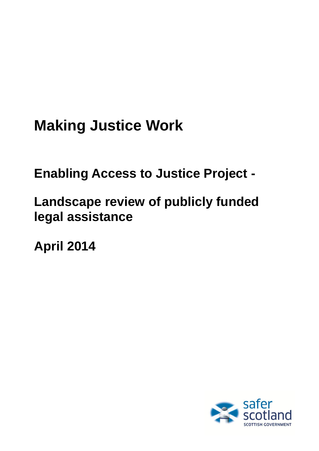# **Making Justice Work**

**Enabling Access to Justice Project -**

# **Landscape review of publicly funded legal assistance**

**April 2014**

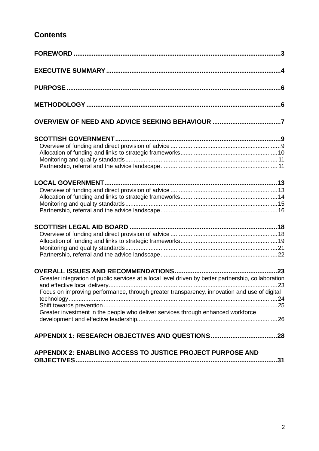# **Contents**

<span id="page-1-0"></span>

| Greater integration of public services at a local level driven by better partnership, collaboration |
|-----------------------------------------------------------------------------------------------------|
| Focus on improving performance, through greater transparency, innovation and use of digital         |
|                                                                                                     |
|                                                                                                     |
| Greater investment in the people who deliver services through enhanced workforce                    |
|                                                                                                     |
|                                                                                                     |
|                                                                                                     |
| <b>APPENDIX 2: ENABLING ACCESS TO JUSTICE PROJECT PURPOSE AND</b>                                   |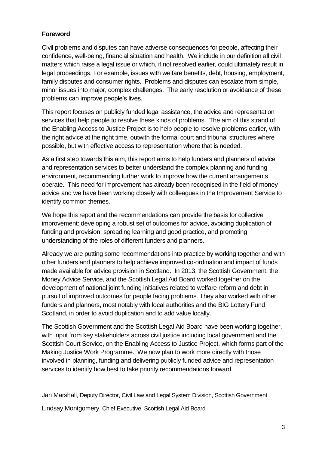# **Foreword**

Civil problems and disputes can have adverse consequences for people, affecting their confidence, well-being, financial situation and health. We include in our definition all civil matters which raise a legal issue or which, if not resolved earlier, could ultimately result in legal proceedings. For example, issues with welfare benefits, debt, housing, employment, family disputes and consumer rights. Problems and disputes can escalate from simple, minor issues into major, complex challenges. The early resolution or avoidance of these problems can improve people's lives.

This report focuses on publicly funded legal assistance, the advice and representation services that help people to resolve these kinds of problems. The aim of this strand of the Enabling Access to Justice Project is to help people to resolve problems earlier, with the right advice at the right time, outwith the formal court and tribunal structures where possible, but with effective access to representation where that is needed.

As a first step towards this aim, this report aims to help funders and planners of advice and representation services to better understand the complex planning and funding environment, recommending further work to improve how the current arrangements operate. This need for improvement has already been recognised in the field of money advice and we have been working closely with colleagues in the Improvement Service to identify common themes.

We hope this report and the recommendations can provide the basis for collective improvement: developing a robust set of outcomes for advice, avoiding duplication of funding and provision, spreading learning and good practice, and promoting understanding of the roles of different funders and planners.

Already we are putting some recommendations into practice by working together and with other funders and planners to help achieve improved co-ordination and impact of funds made available for advice provision in Scotland. In 2013, the Scottish Government, the Money Advice Service, and the Scottish Legal Aid Board worked together on the development of national joint funding initiatives related to welfare reform and debt in pursuit of improved outcomes for people facing problems. They also worked with other funders and planners, most notably with local authorities and the BIG Lottery Fund Scotland, in order to avoid duplication and to add value locally.

The Scottish Government and the Scottish Legal Aid Board have been working together, with input from key stakeholders across civil justice including local government and the Scottish Court Service, on the Enabling Access to Justice Project, which forms part of the Making Justice Work Programme. We now plan to work more directly with those involved in planning, funding and delivering publicly funded advice and representation services to identify how best to take priority recommendations forward.

Jan Marshall, Deputy Director, Civil Law and Legal System Division, Scottish Government

Lindsay Montgomery, Chief Executive, Scottish Legal Aid Board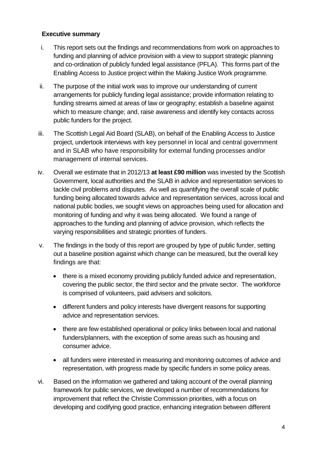#### <span id="page-3-0"></span>**Executive summary**

- i. This report sets out the findings and recommendations from work on approaches to funding and planning of advice provision with a view to support strategic planning and co-ordination of publicly funded legal assistance (PFLA). This forms part of the Enabling Access to Justice project within the Making Justice Work programme.
- ii. The purpose of the initial work was to improve our understanding of current arrangements for publicly funding legal assistance; provide information relating to funding streams aimed at areas of law or geography; establish a baseline against which to measure change; and, raise awareness and identify key contacts across public funders for the project.
- iii. The Scottish Legal Aid Board (SLAB), on behalf of the Enabling Access to Justice project, undertook interviews with key personnel in local and central government and in SLAB who have responsibility for external funding processes and/or management of internal services.
- iv. Overall we estimate that in 2012/13 **at least £90 million** was invested by the Scottish Government, local authorities and the SLAB in advice and representation services to tackle civil problems and disputes. As well as quantifying the overall scale of public funding being allocated towards advice and representation services, across local and national public bodies, we sought views on approaches being used for allocation and monitoring of funding and why it was being allocated. We found a range of approaches to the funding and planning of advice provision, which reflects the varying responsibilities and strategic priorities of funders.
- v. The findings in the body of this report are grouped by type of public funder, setting out a baseline position against which change can be measured, but the overall key findings are that:
	- there is a mixed economy providing publicly funded advice and representation, covering the public sector, the third sector and the private sector. The workforce is comprised of volunteers, paid advisers and solicitors.
	- different funders and policy interests have divergent reasons for supporting advice and representation services.
	- there are few established operational or policy links between local and national funders/planners, with the exception of some areas such as housing and consumer advice.
	- all funders were interested in measuring and monitoring outcomes of advice and representation, with progress made by specific funders in some policy areas.
- vi. Based on the information we gathered and taking account of the overall planning framework for public services, we developed a number of recommendations for improvement that reflect the Christie Commission priorities, with a focus on developing and codifying good practice, enhancing integration between different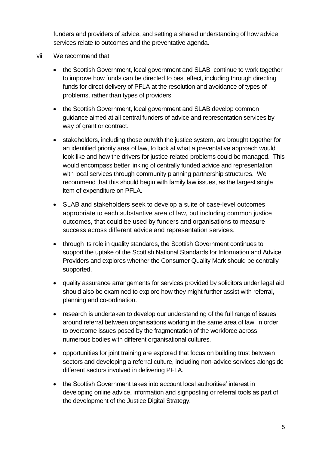funders and providers of advice, and setting a shared understanding of how advice services relate to outcomes and the preventative agenda.

- vii. We recommend that:
	- the Scottish Government, local government and SLAB continue to work together to improve how funds can be directed to best effect, including through directing funds for direct delivery of PFLA at the resolution and avoidance of types of problems, rather than types of providers,
	- the Scottish Government, local government and SLAB develop common guidance aimed at all central funders of advice and representation services by way of grant or contract.
	- stakeholders, including those outwith the justice system, are brought together for an identified priority area of law, to look at what a preventative approach would look like and how the drivers for justice-related problems could be managed. This would encompass better linking of centrally funded advice and representation with local services through community planning partnership structures. We recommend that this should begin with family law issues, as the largest single item of expenditure on PFLA.
	- SLAB and stakeholders seek to develop a suite of case-level outcomes appropriate to each substantive area of law, but including common justice outcomes, that could be used by funders and organisations to measure success across different advice and representation services.
	- through its role in quality standards, the Scottish Government continues to support the uptake of the Scottish National Standards for Information and Advice Providers and explores whether the Consumer Quality Mark should be centrally supported.
	- quality assurance arrangements for services provided by solicitors under legal aid should also be examined to explore how they might further assist with referral, planning and co-ordination.
	- research is undertaken to develop our understanding of the full range of issues around referral between organisations working in the same area of law, in order to overcome issues posed by the fragmentation of the workforce across numerous bodies with different organisational cultures.
	- opportunities for joint training are explored that focus on building trust between sectors and developing a referral culture, including non-advice services alongside different sectors involved in delivering PFLA.
	- the Scottish Government takes into account local authorities' interest in developing online advice, information and signposting or referral tools as part of the development of the Justice Digital Strategy.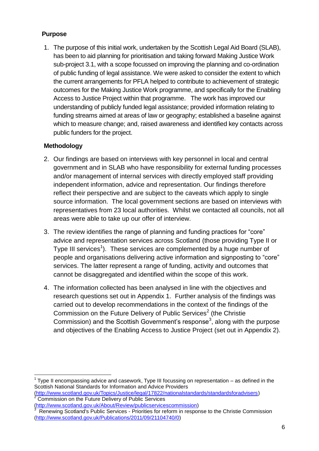# <span id="page-5-0"></span>**Purpose**

1. The purpose of this initial work, undertaken by the Scottish Legal Aid Board (SLAB), has been to aid planning for prioritisation and taking forward Making Justice Work sub-project 3.1, with a scope focussed on improving the planning and co-ordination of public funding of legal assistance. We were asked to consider the extent to which the current arrangements for PFLA helped to contribute to achievement of strategic outcomes for the Making Justice Work programme, and specifically for the Enabling Access to Justice Project within that programme. The work has improved our understanding of publicly funded legal assistance; provided information relating to funding streams aimed at areas of law or geography; established a baseline against which to measure change; and, raised awareness and identified key contacts across public funders for the project.

# <span id="page-5-1"></span>**Methodology**

- 2. Our findings are based on interviews with key personnel in local and central government and in SLAB who have responsibility for external funding processes and/or management of internal services with directly employed staff providing independent information, advice and representation. Our findings therefore reflect their perspective and are subject to the caveats which apply to single source information. The local government sections are based on interviews with representatives from 23 local authorities. Whilst we contacted all councils, not all areas were able to take up our offer of interview.
- 3. The review identifies the range of planning and funding practices for "core" advice and representation services across Scotland (those providing Type II or Type III services<sup>1</sup>). These services are complemented by a huge number of people and organisations delivering active information and signposting to "core" services. The latter represent a range of funding, activity and outcomes that cannot be disaggregated and identified within the scope of this work.
- 4. The information collected has been analysed in line with the objectives and research questions set out in Appendix 1. Further analysis of the findings was carried out to develop recommendations in the context of the findings of the Commission on the Future Delivery of Public Services<sup>2</sup> (the Christie Commission) and the Scottish Government's response<sup>3</sup>, along with the purpose and objectives of the Enabling Access to Justice Project (set out in Appendix 2).

Commission on the Future Delivery of Public Services

 1 Type II encompassing advice and casework, Type III focussing on representation – as defined in the Scottish National Standards for Information and Advice Providers [\(http://www.scotland.gov.uk/Topics/Justice/legal/17822/nationalstandards/standardsforadvisers\)](http://www.scotland.gov.uk/Topics/Justice/legal/17822/nationalstandards/standardsforadvisers)

[<sup>\(</sup>http://www.scotland.gov.uk/About/Review/publicservicescommission\)](http://www.scotland.gov.uk/About/Review/publicservicescommission) 3 Renewing Scotland's Public Services - Priorities for reform in response to the Christie Commission [\(http://www.scotland.gov.uk/Publications/2011/09/21104740/0\)](http://www.scotland.gov.uk/Publications/2011/09/21104740/0)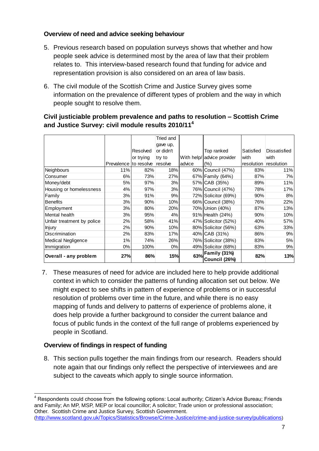# <span id="page-6-0"></span>**Overview of need and advice seeking behaviour**

- 5. Previous research based on population surveys shows that whether and how people seek advice is determined most by the area of law that their problem relates to. This interview-based research found that funding for advice and representation provision is also considered on an area of law basis.
- 6. The civil module of the Scottish Crime and Justice Survey gives some information on the prevalence of different types of problem and the way in which people sought to resolve them.

# **Civil justiciable problem prevalence and paths to resolution – Scottish Crime and Justice Survey: civil module results 2010/11<sup>4</sup>**

|                            |                       |           | Tried and  |        |                               |                       |              |
|----------------------------|-----------------------|-----------|------------|--------|-------------------------------|-----------------------|--------------|
|                            |                       |           | gave up,   |        |                               |                       |              |
|                            |                       | Resolved  | or didn't  |        | Top ranked                    | Satisfied             | Dissatisfied |
|                            |                       | or trying | try to     |        | With help/advice provider     | with                  | with         |
|                            | Prevalence to resolve |           | resolve    | advice | (% )                          | resolution resolution |              |
| Neighbours                 | 11%                   | 82%       | 18%        |        | 60% Council (47%)             | 83%                   | 11%          |
| Consumer                   | 6%                    | 73%       | 27%        |        | 67% Family (64%)              | 87%                   | 7%           |
| Money/debt                 | 5%                    | 97%       | 3%         |        | 57% CAB (35%)                 | 89%                   | 11%          |
| Housing or homelessness    | 4%                    | 97%       | 3%         |        | 76% Council (47%)             | 78%                   | 17%          |
| Family                     | 3%                    | 91%       | 9%         |        | 72% Solicitor (69%)           | 90%                   | 8%           |
| <b>Benefits</b>            | 3%                    | 90%       | 10%        |        | 66% Council (38%)             | 76%                   | 22%          |
| Employment                 | 3%                    | 80%       | 20%        |        | 70% Union (40%)               | 87%                   | 13%          |
| Mental health              | 3%                    | 95%       | 4%         |        | 91% Health (24%)              | 90%                   | 10%          |
| Unfair treatment by police | 2%                    | 58%       | 41%        |        | 47% Solicitor (52%)           | 40%                   | 57%          |
| <b>Injury</b>              | 2%                    | 90%       | 10%        |        | 80% Solicitor (56%)           | 63%                   | 33%          |
| <b>Discrimination</b>      | 2%                    | 83%       | 17%        |        | 40% CAB (31%)                 | 86%                   | 9%           |
| Medical Negligence         | 1%                    | 74%       | 26%        |        | 76% Solicitor (38%)           | 83%                   | 5%           |
| Immigration                | $0\%$                 | 100%      | $0\%$      |        | 49% Solicitor (68%)           | 83%                   | 9%           |
| Overall - any problem      | 27%                   | 86%       | <b>15%</b> | 63%    | Family (31%)<br>Council (26%) | 82%                   | 13%          |

7. These measures of need for advice are included here to help provide additional context in which to consider the patterns of funding allocation set out below. We might expect to see shifts in pattern of experience of problems or in successful resolution of problems over time in the future, and while there is no easy mapping of funds and delivery to patterns of experience of problems alone, it does help provide a further background to consider the current balance and focus of public funds in the context of the full range of problems experienced by people in Scotland.

# **Overview of findings in respect of funding**

8. This section pulls together the main findings from our research. Readers should note again that our findings only reflect the perspective of interviewees and are subject to the caveats which apply to single source information.

  $4$  Respondents could choose from the following options: Local authority; Citizen's Advice Bureau; Friends and Family; An MP, MSP, MEP or local councillor; A solicitor; Trade union or professional association; Other. Scottish Crime and Justice Survey, Scottish Government. (<http://www.scotland.gov.uk/Topics/Statistics/Browse/Crime-Justice/crime-and-justice-survey/publications>)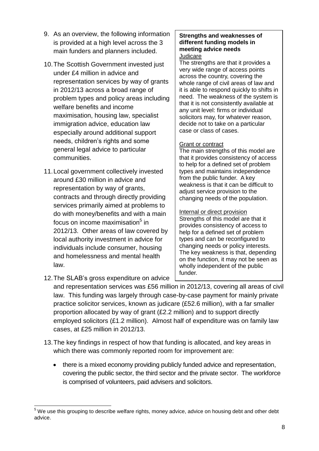- 9. As an overview, the following information is provided at a high level across the 3 main funders and planners included.
- 10.The Scottish Government invested just under £4 million in advice and representation services by way of grants in 2012/13 across a broad range of problem types and policy areas including welfare benefits and income maximisation, housing law, specialist immigration advice, education law especially around additional support needs, children's rights and some general legal advice to particular communities.
- 11.Local government collectively invested around £30 million in advice and representation by way of grants, contracts and through directly providing services primarily aimed at problems to do with money/benefits and with a main focus on income maximisation<sup>5</sup> in 2012/13. Other areas of law covered by local authority investment in advice for individuals include consumer, housing and homelessness and mental health law.

# **Strengths and weaknesses of different funding models in meeting advice needs**

#### **Judicare**

The strengths are that it provides a very wide range of access points across the country, covering the whole range of civil areas of law and it is able to respond quickly to shifts in need. The weakness of the system is that it is not consistently available at any unit level: firms or individual solicitors may, for whatever reason, decide not to take on a particular case or class of cases.

#### Grant or contract

The main strengths of this model are that it provides consistency of access to help for a defined set of problem types and maintains independence from the public funder. A key weakness is that it can be difficult to adjust service provision to the changing needs of the population.

#### Internal or direct provision

Strengths of this model are that it provides consistency of access to help for a defined set of problem types and can be reconfigured to changing needs or policy interests. The key weakness is that, depending on the function, it may not be seen as wholly independent of the public funder.

12.The SLAB's gross expenditure on advice

and representation services was £56 million in 2012/13, covering all areas of civil law. This funding was largely through case-by-case payment for mainly private practice solicitor services, known as judicare (£52.6 million), with a far smaller proportion allocated by way of grant (£2.2 million) and to support directly employed solicitors (£1.2 million). Almost half of expenditure was on family law cases, at £25 million in 2012/13.

- 13.The key findings in respect of how that funding is allocated, and key areas in which there was commonly reported room for improvement are:
	- there is a mixed economy providing publicly funded advice and representation, covering the public sector, the third sector and the private sector. The workforce is comprised of volunteers, paid advisers and solicitors.

 $\overline{a}$  $5$  We use this grouping to describe welfare rights, money advice, advice on housing debt and other debt advice.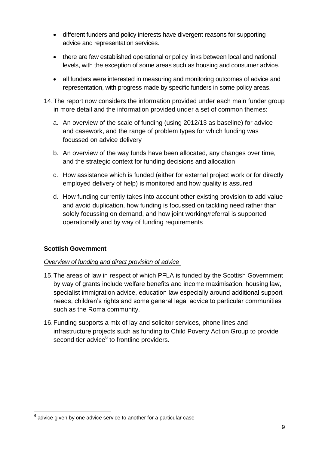- different funders and policy interests have divergent reasons for supporting advice and representation services.
- there are few established operational or policy links between local and national levels, with the exception of some areas such as housing and consumer advice.
- all funders were interested in measuring and monitoring outcomes of advice and representation, with progress made by specific funders in some policy areas.
- 14.The report now considers the information provided under each main funder group in more detail and the information provided under a set of common themes:
	- a. An overview of the scale of funding (using 2012/13 as baseline) for advice and casework, and the range of problem types for which funding was focussed on advice delivery
	- b. An overview of the way funds have been allocated, any changes over time, and the strategic context for funding decisions and allocation
	- c. How assistance which is funded (either for external project work or for directly employed delivery of help) is monitored and how quality is assured
	- d. How funding currently takes into account other existing provision to add value and avoid duplication, how funding is focussed on tackling need rather than solely focussing on demand, and how joint working/referral is supported operationally and by way of funding requirements

# <span id="page-8-0"></span>**Scottish Government**

#### <span id="page-8-1"></span>*Overview of funding and direct provision of advice*

- 15.The areas of law in respect of which PFLA is funded by the Scottish Government by way of grants include welfare benefits and income maximisation, housing law, specialist immigration advice, education law especially around additional support needs, children's rights and some general legal advice to particular communities such as the Roma community.
- 16.Funding supports a mix of lay and solicitor services, phone lines and infrastructure projects such as funding to Child Poverty Action Group to provide second tier advice<sup>6</sup> to frontline providers.

 6 advice given by one advice service to another for a particular case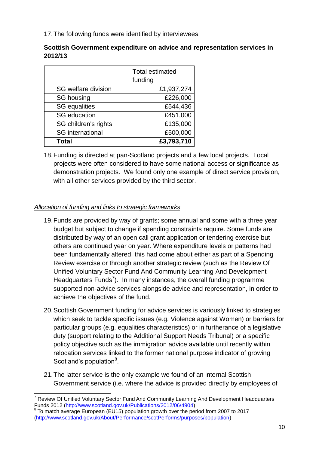17.The following funds were identified by interviewees.

| Scottish Government expenditure on advice and representation services in |  |
|--------------------------------------------------------------------------|--|
| 2012/13                                                                  |  |

|                            | <b>Total estimated</b><br>funding |
|----------------------------|-----------------------------------|
| <b>SG welfare division</b> | £1,937,274                        |
| SG housing                 | £226,000                          |
| <b>SG</b> equalities       | £544,436                          |
| <b>SG</b> education        | £451,000                          |
| SG children's rights       | £135,000                          |
| <b>SG</b> international    | £500,000                          |
| <b>Total</b>               | £3,793,710                        |

18.Funding is directed at pan-Scotland projects and a few local projects. Local projects were often considered to have some national access or significance as demonstration projects. We found only one example of direct service provision, with all other services provided by the third sector.

# <span id="page-9-0"></span>*Allocation of funding and links to strategic frameworks*

- 19.Funds are provided by way of grants; some annual and some with a three year budget but subject to change if spending constraints require. Some funds are distributed by way of an open call grant application or tendering exercise but others are continued year on year. Where expenditure levels or patterns had been fundamentally altered, this had come about either as part of a Spending Review exercise or through another strategic review (such as the Review Of Unified Voluntary Sector Fund And Community Learning And Development Headquarters Funds<sup>7</sup>). In many instances, the overall funding programme supported non-advice services alongside advice and representation, in order to achieve the objectives of the fund.
- 20.Scottish Government funding for advice services is variously linked to strategies which seek to tackle specific issues (e.g. Violence against Women) or barriers for particular groups (e.g. equalities characteristics) or in furtherance of a legislative duty (support relating to the Additional Support Needs Tribunal) or a specific policy objective such as the immigration advice available until recently within relocation services linked to the former national purpose indicator of growing Scotland's population<sup>8</sup>.
- 21.The latter service is the only example we found of an internal Scottish Government service (i.e. where the advice is provided directly by employees of

 <sup>7</sup> Review Of Unified Voluntary Sector Fund And Community Learning And Development Headquarters Funds 2012 (<u>http://www.scotland.gov.uk/Publications/2012/06/4904)</u><br><sup>8</sup> To moteb average European (EU15) population grouth aver the par

To match average European (EU15) population growth over the period from 2007 to 2017 [\(http://www.scotland.gov.uk/About/Performance/scotPerforms/purposes/population\)](http://www.scotland.gov.uk/About/Performance/scotPerforms/purposes/population)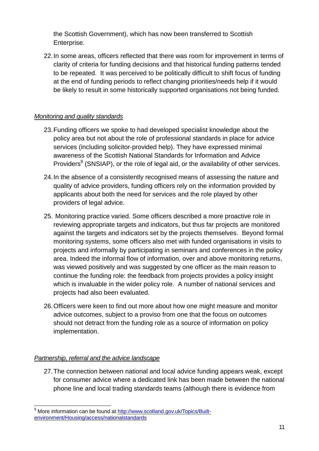the Scottish Government), which has now been transferred to Scottish Enterprise.

22.In some areas, officers reflected that there was room for improvement in terms of clarity of criteria for funding decisions and that historical funding patterns tended to be repeated. It was perceived to be politically difficult to shift focus of funding at the end of funding periods to reflect changing priorities/needs help if it would be likely to result in some historically supported organisations not being funded.

# <span id="page-10-0"></span>*Monitoring and quality standards*

- 23.Funding officers we spoke to had developed specialist knowledge about the policy area but not about the role of professional standards in place for advice services (including solicitor-provided help). They have expressed minimal awareness of the Scottish National Standards for Information and Advice Providers<sup>9</sup> (SNSIAP), or the role of legal aid, or the availability of other services.
- 24.In the absence of a consistently recognised means of assessing the nature and quality of advice providers, funding officers rely on the information provided by applicants about both the need for services and the role played by other providers of legal advice.
- 25. Monitoring practice varied. Some officers described a more proactive role in reviewing appropriate targets and indicators, but thus far projects are monitored against the targets and indicators set by the projects themselves. Beyond formal monitoring systems, some officers also met with funded organisations in visits to projects and informally by participating in seminars and conferences in the policy area. Indeed the informal flow of information, over and above monitoring returns, was viewed positively and was suggested by one officer as the main reason to continue the funding role: the feedback from projects provides a policy insight which is invaluable in the wider policy role. A number of national services and projects had also been evaluated.
- 26.Officers were keen to find out more about how one might measure and monitor advice outcomes, subject to a proviso from one that the focus on outcomes should not detract from the funding role as a source of information on policy implementation.

# <span id="page-10-1"></span>*Partnership, referral and the advice landscape*

27.The connection between national and local advice funding appears weak, except for consumer advice where a dedicated link has been made between the national phone line and local trading standards teams (although there is evidence from

 $\overline{\phantom{a}}$ <sup>9</sup> More information can be found at [http://www.scotland.gov.uk/Topics/Built](http://www.scotland.gov.uk/Topics/Built-environment/Housing/access/nationalstandards)[environment/Housing/access/nationalstandards](http://www.scotland.gov.uk/Topics/Built-environment/Housing/access/nationalstandards)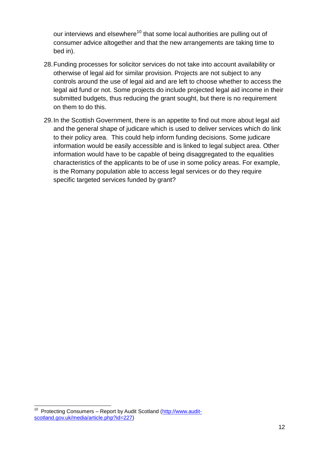our interviews and elsewhere<sup>10</sup> that some local authorities are pulling out of consumer advice altogether and that the new arrangements are taking time to bed in).

- 28.Funding processes for solicitor services do not take into account availability or otherwise of legal aid for similar provision. Projects are not subject to any controls around the use of legal aid and are left to choose whether to access the legal aid fund or not. Some projects do include projected legal aid income in their submitted budgets, thus reducing the grant sought, but there is no requirement on them to do this.
- <span id="page-11-0"></span>29.In the Scottish Government, there is an appetite to find out more about legal aid and the general shape of judicare which is used to deliver services which do link to their policy area. This could help inform funding decisions. Some judicare information would be easily accessible and is linked to legal subject area. Other information would have to be capable of being disaggregated to the equalities characteristics of the applicants to be of use in some policy areas. For example, is the Romany population able to access legal services or do they require specific targeted services funded by grant?

 $\frac{1}{10}$  Protecting Consumers – Report by Audit Scotland [\(http://www.audit](http://www.audit-scotland.gov.uk/media/article.php?id=227)[scotland.gov.uk/media/article.php?id=227\)](http://www.audit-scotland.gov.uk/media/article.php?id=227)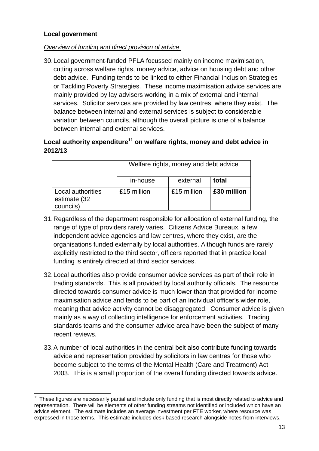#### **Local government**

#### <span id="page-12-0"></span>*Overview of funding and direct provision of advice*

30.Local government-funded PFLA focussed mainly on income maximisation, cutting across welfare rights, money advice, advice on housing debt and other debt advice. Funding tends to be linked to either Financial Inclusion Strategies or Tackling Poverty Strategies. These income maximisation advice services are mainly provided by lay advisers working in a mix of external and internal services. Solicitor services are provided by law centres, where they exist. The balance between internal and external services is subject to considerable variation between councils, although the overall picture is one of a balance between internal and external services.

# **Local authority expenditure<sup>11</sup> on welfare rights, money and debt advice in 2012/13**

|                                                | Welfare rights, money and debt advice |             |             |  |
|------------------------------------------------|---------------------------------------|-------------|-------------|--|
|                                                | in-house                              | external    | total       |  |
| Local authorities<br>estimate (32<br>councils) | £15 million                           | £15 million | £30 million |  |

- 31.Regardless of the department responsible for allocation of external funding, the range of type of providers rarely varies. Citizens Advice Bureaux, a few independent advice agencies and law centres, where they exist, are the organisations funded externally by local authorities. Although funds are rarely explicitly restricted to the third sector, officers reported that in practice local funding is entirely directed at third sector services.
- 32.Local authorities also provide consumer advice services as part of their role in trading standards. This is all provided by local authority officials. The resource directed towards consumer advice is much lower than that provided for income maximisation advice and tends to be part of an individual officer's wider role, meaning that advice activity cannot be disaggregated. Consumer advice is given mainly as a way of collecting intelligence for enforcement activities. Trading standards teams and the consumer advice area have been the subject of many recent reviews.
- 33.A number of local authorities in the central belt also contribute funding towards advice and representation provided by solicitors in law centres for those who become subject to the terms of the Mental Health (Care and Treatment) Act 2003. This is a small proportion of the overall funding directed towards advice.

 $11$  These figures are necessarily partial and include only funding that is most directly related to advice and representation. There will be elements of other funding streams not identified or included which have an advice element. The estimate includes an average investment per FTE worker, where resource was expressed in those terms. This estimate includes desk based research alongside notes from interviews.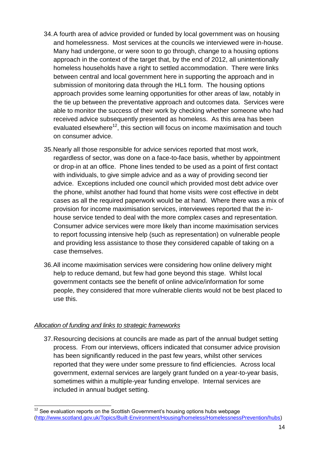- 34.A fourth area of advice provided or funded by local government was on housing and homelessness. Most services at the councils we interviewed were in-house. Many had undergone, or were soon to go through, change to a housing options approach in the context of the target that, by the end of 2012, all unintentionally homeless households have a right to settled accommodation. There were links between central and local government here in supporting the approach and in submission of monitoring data through the HL1 form. The housing options approach provides some learning opportunities for other areas of law, notably in the tie up between the preventative approach and outcomes data. Services were able to monitor the success of their work by checking whether someone who had received advice subsequently presented as homeless. As this area has been evaluated elsewhere<sup>12</sup>, this section will focus on income maximisation and touch on consumer advice.
- 35.Nearly all those responsible for advice services reported that most work, regardless of sector, was done on a face-to-face basis, whether by appointment or drop-in at an office. Phone lines tended to be used as a point of first contact with individuals, to give simple advice and as a way of providing second tier advice. Exceptions included one council which provided most debt advice over the phone, whilst another had found that home visits were cost effective in debt cases as all the required paperwork would be at hand. Where there was a mix of provision for income maximisation services, interviewees reported that the inhouse service tended to deal with the more complex cases and representation. Consumer advice services were more likely than income maximisation services to report focussing intensive help (such as representation) on vulnerable people and providing less assistance to those they considered capable of taking on a case themselves.
- 36.All income maximisation services were considering how online delivery might help to reduce demand, but few had gone beyond this stage. Whilst local government contacts see the benefit of online advice/information for some people, they considered that more vulnerable clients would not be best placed to use this.

#### <span id="page-13-0"></span>*Allocation of funding and links to strategic frameworks*

37.Resourcing decisions at councils are made as part of the annual budget setting process. From our interviews, officers indicated that consumer advice provision has been significantly reduced in the past few years, whilst other services reported that they were under some pressure to find efficiencies. Across local government, external services are largely grant funded on a year-to-year basis, sometimes within a multiple-year funding envelope. Internal services are included in annual budget setting.

 $\overline{\phantom{a}}$  $12$  See evaluation reports on the Scottish Government's housing options hubs webpage [\(http://www.scotland.gov.uk/Topics/Built-Environment/Housing/homeless/HomelessnessPrevention/hubs\)](http://www.scotland.gov.uk/Topics/Built-Environment/Housing/homeless/HomelessnessPrevention/hubs)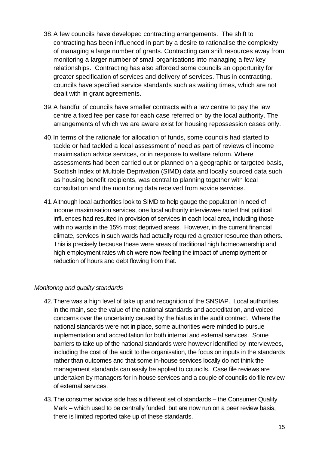- 38.A few councils have developed contracting arrangements. The shift to contracting has been influenced in part by a desire to rationalise the complexity of managing a large number of grants. Contracting can shift resources away from monitoring a larger number of small organisations into managing a few key relationships. Contracting has also afforded some councils an opportunity for greater specification of services and delivery of services. Thus in contracting, councils have specified service standards such as waiting times, which are not dealt with in grant agreements.
- 39.A handful of councils have smaller contracts with a law centre to pay the law centre a fixed fee per case for each case referred on by the local authority. The arrangements of which we are aware exist for housing repossession cases only.
- 40.In terms of the rationale for allocation of funds, some councils had started to tackle or had tackled a local assessment of need as part of reviews of income maximisation advice services, or in response to welfare reform. Where assessments had been carried out or planned on a geographic or targeted basis, Scottish Index of Multiple Deprivation (SIMD) data and locally sourced data such as housing benefit recipients, was central to planning together with local consultation and the monitoring data received from advice services.
- 41.Although local authorities look to SIMD to help gauge the population in need of income maximisation services, one local authority interviewee noted that political influences had resulted in provision of services in each local area, including those with no wards in the 15% most deprived areas. However, in the current financial climate, services in such wards had actually required a greater resource than others. This is precisely because these were areas of traditional high homeownership and high employment rates which were now feeling the impact of unemployment or reduction of hours and debt flowing from that.

#### <span id="page-14-0"></span>*Monitoring and quality standards*

- 42.There was a high level of take up and recognition of the SNSIAP. Local authorities, in the main, see the value of the national standards and accreditation, and voiced concerns over the uncertainty caused by the hiatus in the audit contract. Where the national standards were not in place, some authorities were minded to pursue implementation and accreditation for both internal and external services. Some barriers to take up of the national standards were however identified by interviewees, including the cost of the audit to the organisation, the focus on inputs in the standards rather than outcomes and that some in-house services locally do not think the management standards can easily be applied to councils. Case file reviews are undertaken by managers for in-house services and a couple of councils do file review of external services.
- 43.The consumer advice side has a different set of standards the Consumer Quality Mark – which used to be centrally funded, but are now run on a peer review basis, there is limited reported take up of these standards.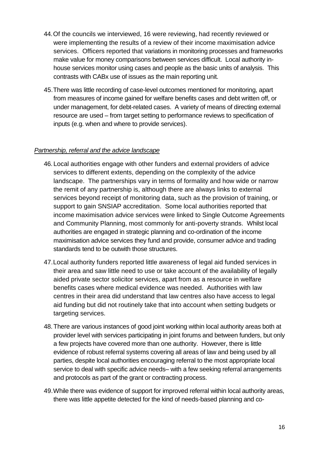- 44.Of the councils we interviewed, 16 were reviewing, had recently reviewed or were implementing the results of a review of their income maximisation advice services. Officers reported that variations in monitoring processes and frameworks make value for money comparisons between services difficult. Local authority inhouse services monitor using cases and people as the basic units of analysis. This contrasts with CABx use of issues as the main reporting unit.
- 45.There was little recording of case-level outcomes mentioned for monitoring, apart from measures of income gained for welfare benefits cases and debt written off, or under management, for debt-related cases. A variety of means of directing external resource are used – from target setting to performance reviews to specification of inputs (e.g. when and where to provide services).

#### <span id="page-15-0"></span>*Partnership, referral and the advice landscape*

- 46. Local authorities engage with other funders and external providers of advice services to different extents, depending on the complexity of the advice landscape. The partnerships vary in terms of formality and how wide or narrow the remit of any partnership is, although there are always links to external services beyond receipt of monitoring data, such as the provision of training, or support to gain SNSIAP accreditation. Some local authorities reported that income maximisation advice services were linked to Single Outcome Agreements and Community Planning, most commonly for anti-poverty strands. Whilst local authorities are engaged in strategic planning and co-ordination of the income maximisation advice services they fund and provide, consumer advice and trading standards tend to be outwith those structures.
- 47.Local authority funders reported little awareness of legal aid funded services in their area and saw little need to use or take account of the availability of legally aided private sector solicitor services, apart from as a resource in welfare benefits cases where medical evidence was needed. Authorities with law centres in their area did understand that law centres also have access to legal aid funding but did not routinely take that into account when setting budgets or targeting services.
- 48.There are various instances of good joint working within local authority areas both at provider level with services participating in joint forums and between funders, but only a few projects have covered more than one authority. However, there is little evidence of robust referral systems covering all areas of law and being used by all parties, despite local authorities encouraging referral to the most appropriate local service to deal with specific advice needs– with a few seeking referral arrangements and protocols as part of the grant or contracting process.
- 49.While there was evidence of support for improved referral within local authority areas, there was little appetite detected for the kind of needs-based planning and co-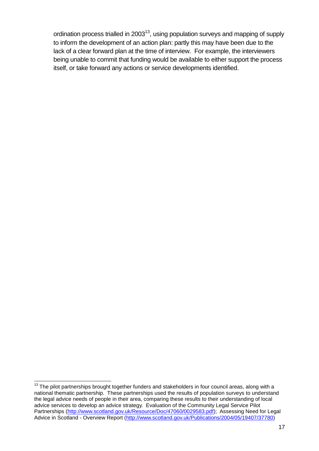<span id="page-16-0"></span>ordination process trialled in  $2003^{13}$ , using population surveys and mapping of supply to inform the development of an action plan: partly this may have been due to the lack of a clear forward plan at the time of interview. For example, the interviewers being unable to commit that funding would be available to either support the process itself, or take forward any actions or service developments identified.

j  $13$  The pilot partnerships brought together funders and stakeholders in four council areas, along with a national thematic partnership. These partnerships used the results of population surveys to understand the legal advice needs of people in their area, comparing these results to their understanding of local advice services to develop an advice strategy. Evaluation of the Community Legal Service Pilot Partnerships [\(http://www.scotland.gov.uk/Resource/Doc/47060/0029583.pdf\)](http://www.scotland.gov.uk/Resource/Doc/47060/0029583.pdf); Assessing Need for Legal Advice in Scotland - Overview Report [\(http://www.scotland.gov.uk/Publications/2004/05/19407/37780\)](http://www.scotland.gov.uk/Publications/2004/05/19407/37780)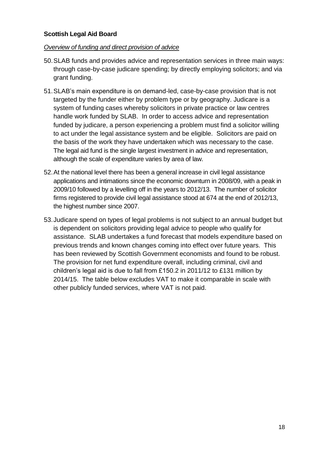#### **Scottish Legal Aid Board**

#### <span id="page-17-0"></span>*Overview of funding and direct provision of advice*

- 50.SLAB funds and provides advice and representation services in three main ways: through case-by-case judicare spending; by directly employing solicitors; and via grant funding.
- 51.SLAB's main expenditure is on demand-led, case-by-case provision that is not targeted by the funder either by problem type or by geography. Judicare is a system of funding cases whereby solicitors in private practice or law centres handle work funded by SLAB. In order to access advice and representation funded by judicare, a person experiencing a problem must find a solicitor willing to act under the legal assistance system and be eligible. Solicitors are paid on the basis of the work they have undertaken which was necessary to the case. The legal aid fund is the single largest investment in advice and representation, although the scale of expenditure varies by area of law.
- 52.At the national level there has been a general increase in civil legal assistance applications and intimations since the economic downturn in 2008/09, with a peak in 2009/10 followed by a levelling off in the years to 2012/13. The number of solicitor firms registered to provide civil legal assistance stood at 674 at the end of 2012/13, the highest number since 2007.
- 53.Judicare spend on types of legal problems is not subject to an annual budget but is dependent on solicitors providing legal advice to people who qualify for assistance. SLAB undertakes a fund forecast that models expenditure based on previous trends and known changes coming into effect over future years. This has been reviewed by Scottish Government economists and found to be robust. The provision for net fund expenditure overall, including criminal, civil and children's legal aid is due to fall from £150.2 in 2011/12 to £131 million by 2014/15. The table below excludes VAT to make it comparable in scale with other publicly funded services, where VAT is not paid.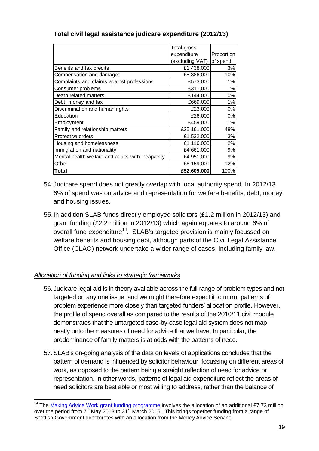|                                                  | Total gross     |            |
|--------------------------------------------------|-----------------|------------|
|                                                  | expenditure     | Proportion |
|                                                  | (excluding VAT) | of spend   |
| Benefits and tax credits                         | £1,438,000      | 3%         |
| Compensation and damages                         | £5,386,000      | 10%        |
| Complaints and claims against professions        | £573,000        | 1%         |
| Consumer problems                                | £311,000        | 1%         |
| Death related matters                            | £144,000        | 0%         |
| Debt, money and tax                              | £669,000        | 1%         |
| Discrimination and human rights                  | £23,000         | 0%         |
| Education                                        | £26,000         | 0%         |
| Employment                                       | £459,000        | 1%         |
| Family and relationship matters                  | £25,161,000     | 48%        |
| Protective orders                                | £1,532,000      | 3%         |
| Housing and homelessness                         | £1,116,000      | 2%         |
| Immigration and nationality                      | £4,661,000      | 9%         |
| Mental health welfare and adults with incapacity | £4,951,000      | 9%         |
| Other                                            | £6,159,000      | 12%        |
| Total                                            | £52,609,000     | 100%       |

# **Total civil legal assistance judicare expenditure (2012/13)**

- 54.Judicare spend does not greatly overlap with local authority spend. In 2012/13 6% of spend was on advice and representation for welfare benefits, debt, money and housing issues.
- 55.In addition SLAB funds directly employed solicitors (£1.2 million in 2012/13) and grant funding (£2.2 million in 2012/13) which again equates to around 6% of overall fund expenditure<sup>14</sup>. SLAB's targeted provision is mainly focussed on welfare benefits and housing debt, although parts of the Civil Legal Assistance Office (CLAO) network undertake a wider range of cases, including family law.

# <span id="page-18-0"></span>*Allocation of funding and links to strategic frameworks*

- 56. Judicare legal aid is in theory available across the full range of problem types and not targeted on any one issue, and we might therefore expect it to mirror patterns of problem experience more closely than targeted funders' allocation profile. However, the profile of spend overall as compared to the results of the 2010/11 civil module demonstrates that the untargeted case-by-case legal aid system does not map neatly onto the measures of need for advice that we have. In particular, the predominance of family matters is at odds with the patterns of need.
- 57.SLAB's on-going analysis of the data on levels of applications concludes that the pattern of demand is influenced by solicitor behaviour, focussing on different areas of work, as opposed to the pattern being a straight reflection of need for advice or representation. In other words, patterns of legal aid expenditure reflect the areas of need solicitors are best able or most willing to address, rather than the balance of

 $\overline{\phantom{a}}$ <sup>14</sup> The [Making Advice Work grant funding programme](http://news.scotland.gov.uk/News/Funding-boost-for-vulnerable-groups-7f7.aspx) involves the allocation of an additional £7.73 million over the period from 7<sup>th</sup> May 2013 to 31<sup>st</sup> March 2015. This brings together funding from a range of Scottish Government directorates with an allocation from the Money Advice Service.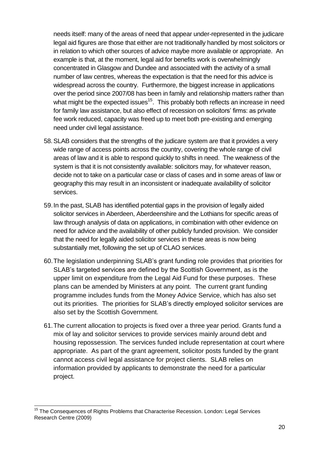needs itself: many of the areas of need that appear under-represented in the judicare legal aid figures are those that either are not traditionally handled by most solicitors or in relation to which other sources of advice maybe more available or appropriate. An example is that, at the moment, legal aid for benefits work is overwhelmingly concentrated in Glasgow and Dundee and associated with the activity of a small number of law centres, whereas the expectation is that the need for this advice is widespread across the country. Furthermore, the biggest increase in applications over the period since 2007/08 has been in family and relationship matters rather than what might be the expected issues<sup>15</sup>. This probably both reflects an increase in need for family law assistance, but also effect of recession on solicitors' firms: as private fee work reduced, capacity was freed up to meet both pre-existing and emerging need under civil legal assistance.

- 58.SLAB considers that the strengths of the judicare system are that it provides a very wide range of access points across the country, covering the whole range of civil areas of law and it is able to respond quickly to shifts in need. The weakness of the system is that it is not consistently available: solicitors may, for whatever reason, decide not to take on a particular case or class of cases and in some areas of law or geography this may result in an inconsistent or inadequate availability of solicitor services.
- 59.In the past, SLAB has identified potential gaps in the provision of legally aided solicitor services in Aberdeen, Aberdeenshire and the Lothians for specific areas of law through analysis of data on applications, in combination with other evidence on need for advice and the availability of other publicly funded provision. We consider that the need for legally aided solicitor services in these areas is now being substantially met, following the set up of CLAO services.
- 60.The legislation underpinning SLAB's grant funding role provides that priorities for SLAB's targeted services are defined by the Scottish Government, as is the upper limit on expenditure from the Legal Aid Fund for these purposes. These plans can be amended by Ministers at any point. The current grant funding programme includes funds from the Money Advice Service, which has also set out its priorities. The priorities for SLAB's directly employed solicitor services are also set by the Scottish Government.
- 61.The current allocation to projects is fixed over a three year period. Grants fund a mix of lay and solicitor services to provide services mainly around debt and housing repossession. The services funded include representation at court where appropriate. As part of the grant agreement, solicitor posts funded by the grant cannot access civil legal assistance for project clients. SLAB relies on information provided by applicants to demonstrate the need for a particular project.

 $\overline{\phantom{a}}$ <sup>15</sup> The Consequences of Rights Problems that Characterise Recession. London: Legal Services Research Centre (2009)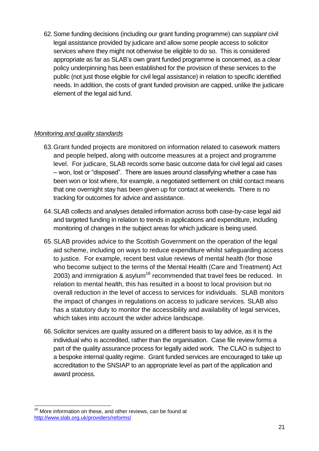62.Some funding decisions (including our grant funding programme) can *supplant* civil legal assistance provided by judicare and allow some people access to solicitor services where they might not otherwise be eligible to do so. This is considered appropriate as far as SLAB's own grant funded programme is concerned, as a clear policy underpinning has been established for the provision of these services to the public (not just those eligible for civil legal assistance) in relation to specific identified needs. In addition, the costs of grant funded provision are capped, unlike the judicare element of the legal aid fund.

#### <span id="page-20-0"></span>*Monitoring and quality standards*

- 63.Grant funded projects are monitored on information related to casework matters and people helped, along with outcome measures at a project and programme level. For judicare, SLAB records some basic outcome data for civil legal aid cases – won, lost or "disposed". There are issues around classifying whether a case has been won or lost where, for example, a negotiated settlement on child contact means that one overnight stay has been given up for contact at weekends. There is no tracking for outcomes for advice and assistance.
- 64.SLAB collects and analyses detailed information across both case-by-case legal aid and targeted funding in relation to trends in applications and expenditure, including monitoring of changes in the subject areas for which judicare is being used.
- 65.SLAB provides advice to the Scottish Government on the operation of the legal aid scheme, including on ways to reduce expenditure whilst safeguarding access to justice. For example, recent best value reviews of mental health (for those who become subject to the terms of the Mental Health (Care and Treatment) Act 2003) and immigration  $\&$  asylum<sup>16</sup> recommended that travel fees be reduced. In relation to mental health, this has resulted in a boost to local provision but no overall reduction in the level of access to services for individuals. SLAB monitors the impact of changes in regulations on access to judicare services. SLAB also has a statutory duty to monitor the accessibility and availability of legal services, which takes into account the wider advice landscape.
- 66.Solicitor services are quality assured on a different basis to lay advice, as it is the individual who is accredited, rather than the organisation. Case file review forms a part of the quality assurance process for legally aided work. The CLAO is subject to a bespoke internal quality regime. Grant funded services are encouraged to take up accreditation to the SNSIAP to an appropriate level as part of the application and award process.

 $\overline{\phantom{a}}$ <sup>16</sup> More information on these, and other reviews, can be found at <http://www.slab.org.uk/providers/reforms/>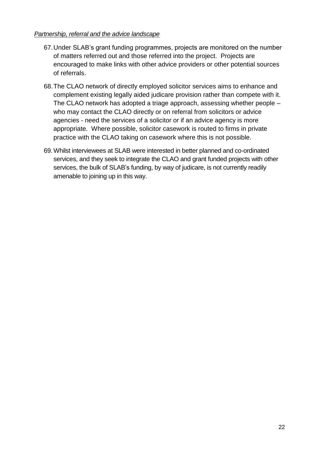#### <span id="page-21-0"></span>*Partnership, referral and the advice landscape*

- 67.Under SLAB's grant funding programmes, projects are monitored on the number of matters referred out and those referred into the project. Projects are encouraged to make links with other advice providers or other potential sources of referrals.
- 68.The CLAO network of directly employed solicitor services aims to enhance and complement existing legally aided judicare provision rather than compete with it. The CLAO network has adopted a triage approach, assessing whether people – who may contact the CLAO directly or on referral from solicitors or advice agencies - need the services of a solicitor or if an advice agency is more appropriate. Where possible, solicitor casework is routed to firms in private practice with the CLAO taking on casework where this is not possible.
- <span id="page-21-1"></span>69.Whilst interviewees at SLAB were interested in better planned and co-ordinated services, and they seek to integrate the CLAO and grant funded projects with other services, the bulk of SLAB's funding, by way of judicare, is not currently readily amenable to joining up in this way.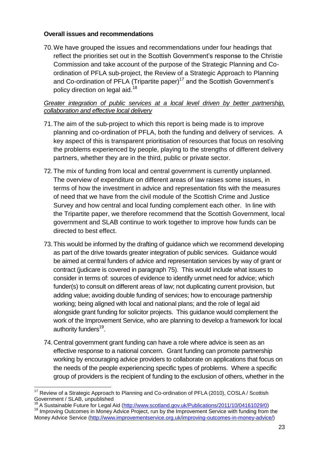#### **Overall issues and recommendations**

70.We have grouped the issues and recommendations under four headings that reflect the priorities set out in the Scottish Government's response to the Christie Commission and take account of the purpose of the Strategic Planning and Coordination of PFLA sub-project, the Review of a Strategic Approach to Planning and Co-ordination of PFLA (Tripartite paper)<sup>17</sup> and the Scottish Government's policy direction on legal aid.<sup>18</sup>

#### <span id="page-22-0"></span>*Greater integration of public services at a local level driven by better partnership, collaboration and effective local delivery*

- 71.The aim of the sub-project to which this report is being made is to improve planning and co-ordination of PFLA, both the funding and delivery of services. A key aspect of this is transparent prioritisation of resources that focus on resolving the problems experienced by people, playing to the strengths of different delivery partners, whether they are in the third, public or private sector.
- 72.The mix of funding from local and central government is currently unplanned. The overview of expenditure on different areas of law raises some issues, in terms of how the investment in advice and representation fits with the measures of need that we have from the civil module of the Scottish Crime and Justice Survey and how central and local funding complement each other. In line with the Tripartite paper, we therefore recommend that the Scottish Government, local government and SLAB continue to work together to improve how funds can be directed to best effect.
- <span id="page-22-1"></span>73.This would be informed by the drafting of guidance which we recommend developing as part of the drive towards greater integration of public services. Guidance would be aimed at central funders of advice and representation services by way of grant or contract (judicare is covered in paragraph [75\)](#page-23-1). This would include what issues to consider in terms of: sources of evidence to identify unmet need for advice; which funder(s) to consult on different areas of law; not duplicating current provision, but adding value; avoiding double funding of services; how to encourage partnership working; being aligned with local and national plans; and the role of legal aid alongside grant funding for solicitor projects. This guidance would complement the work of the Improvement Service, who are planning to develop a framework for local authority funders<sup>19</sup>.
- 74.Central government grant funding can have a role where advice is seen as an effective response to a national concern. Grant funding can promote partnership working by encouraging advice providers to collaborate on applications that focus on the needs of the people experiencing specific types of problems. Where a specific group of providers is the recipient of funding to the exclusion of others, whether in the

 <sup>17</sup> Review of a Strategic Approach to Planning and Co-ordination of PFLA (2010), COSLA / Scottish Government / SLAB, unpublished

<sup>&</sup>lt;sup>18</sup> A Sustainable Future for Legal Aid [\(http://www.scotland.gov.uk/Publications/2011/10/04161029/0\)](http://www.scotland.gov.uk/Publications/2011/10/04161029/0)

<sup>&</sup>lt;sup>19</sup> Improving Outcomes in Money Advice Project, run by the Improvement Service with funding from the Money Advice Service [\(http://www.improvementservice.org.uk/improving-outcomes-in-money-advice/\)](http://www.improvementservice.org.uk/improving-outcomes-in-money-advice/)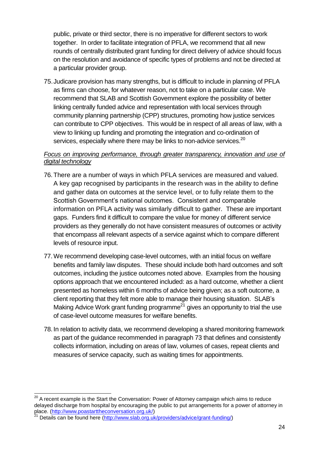public, private or third sector, there is no imperative for different sectors to work together. In order to facilitate integration of PFLA, we recommend that all new rounds of centrally distributed grant funding for direct delivery of advice should focus on the resolution and avoidance of specific types of problems and not be directed at a particular provider group.

<span id="page-23-1"></span>75.Judicare provision has many strengths, but is difficult to include in planning of PFLA as firms can choose, for whatever reason, not to take on a particular case. We recommend that SLAB and Scottish Government explore the possibility of better linking centrally funded advice and representation with local services through community planning partnership (CPP) structures, promoting how justice services can contribute to CPP objectives. This would be in respect of all areas of law, with a view to linking up funding and promoting the integration and co-ordination of services, especially where there may be links to non-advice services. $^{20}$ 

#### <span id="page-23-0"></span>*Focus on improving performance, through greater transparency, innovation and use of digital technology*

- 76.There are a number of ways in which PFLA services are measured and valued. A key gap recognised by participants in the research was in the ability to define and gather data on outcomes at the service level, or to fully relate them to the Scottish Government's national outcomes. Consistent and comparable information on PFLA activity was similarly difficult to gather. These are important gaps. Funders find it difficult to compare the value for money of different service providers as they generally do not have consistent measures of outcomes or activity that encompass all relevant aspects of a service against which to compare different levels of resource input.
- 77.We recommend developing case-level outcomes, with an initial focus on welfare benefits and family law disputes. These should include both hard outcomes and soft outcomes, including the justice outcomes noted above. Examples from the housing options approach that we encountered included: as a hard outcome, whether a client presented as homeless within 6 months of advice being given; as a soft outcome, a client reporting that they felt more able to manage their housing situation. SLAB's Making Advice Work grant funding programme<sup>21</sup> gives an opportunity to trial the use of case-level outcome measures for welfare benefits.
- 78. In relation to activity data, we recommend developing a shared monitoring framework as part of the guidance recommended in paragrap[h 73](#page-22-1) that defines and consistently collects information, including on areas of law, volumes of cases, repeat clients and measures of service capacity, such as waiting times for appointments.

  $^{20}$  A recent example is the Start the Conversation: Power of Attorney campaign which aims to reduce delayed discharge from hospital by encouraging the public to put arrangements for a power of attorney in place. [\(http://www.poastarttheconversation.org.uk/\)](http://www.poastarttheconversation.org.uk/)

<sup>&</sup>lt;sup>21</sup> Details can be found here [\(http://www.slab.org.uk/providers/advice/grant-funding/\)](http://www.slab.org.uk/providers/advice/grant-funding/)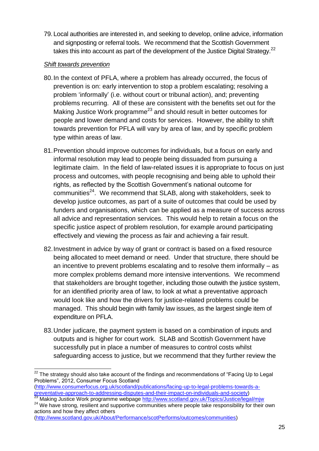79. Local authorities are interested in, and seeking to develop, online advice, information and signposting or referral tools. We recommend that the Scottish Government takes this into account as part of the development of the Justice Digital Strategy.<sup>22</sup>

#### <span id="page-24-0"></span>*Shift towards prevention*

- 80.In the context of PFLA, where a problem has already occurred, the focus of prevention is on: early intervention to stop a problem escalating; resolving a problem 'informally' (i.e. without court or tribunal action), and; preventing problems recurring. All of these are consistent with the benefits set out for the Making Justice Work programme<sup>23</sup> and should result in better outcomes for people and lower demand and costs for services. However, the ability to shift towards prevention for PFLA will vary by area of law, and by specific problem type within areas of law.
- 81.Prevention should improve outcomes for individuals, but a focus on early and informal resolution may lead to people being dissuaded from pursuing a legitimate claim. In the field of law-related issues it is appropriate to focus on just process and outcomes, with people recognising and being able to uphold their rights, as reflected by the Scottish Government's national outcome for communities<sup>24</sup>. We recommend that SLAB, along with stakeholders, seek to develop justice outcomes, as part of a suite of outcomes that could be used by funders and organisations, which can be applied as a measure of success across all advice and representation services. This would help to retain a focus on the specific justice aspect of problem resolution, for example around participating effectively and viewing the process as fair and achieving a fair result.
- 82.Investment in advice by way of grant or contract is based on a fixed resource being allocated to meet demand or need. Under that structure, there should be an incentive to prevent problems escalating and to resolve them informally – as more complex problems demand more intensive interventions. We recommend that stakeholders are brought together, including those outwith the justice system, for an identified priority area of law, to look at what a preventative approach would look like and how the drivers for justice-related problems could be managed. This should begin with family law issues, as the largest single item of expenditure on PFLA.
- 83.Under judicare, the payment system is based on a combination of inputs and outputs and is higher for court work. SLAB and Scottish Government have successfully put in place a number of measures to control costs whilst safeguarding access to justice, but we recommend that they further review the

  $^{22}$  The strategy should also take account of the findings and recommendations of "Facing Up to Legal Problems", 2012, Consumer Focus Scotland

[<sup>\(</sup>http://www.consumerfocus.org.uk/scotland/publications/facing-up-to-legal-problems-towards-a](http://www.consumerfocus.org.uk/scotland/publications/facing-up-to-legal-problems-towards-a-preventative-approach-to-addressing-disputes-and-their-impact-on-individuals-and-society)[preventative-approach-to-addressing-disputes-and-their-impact-on-individuals-and-society\)](http://www.consumerfocus.org.uk/scotland/publications/facing-up-to-legal-problems-towards-a-preventative-approach-to-addressing-disputes-and-their-impact-on-individuals-and-society) <sup>23</sup> Making Justice Work programme webpage<http://www.scotland.gov.uk/Topics/Justice/legal/mjw>

<sup>&</sup>lt;sup>24</sup> We have strong, resilient and supportive communities where people take responsibility for their own actions and how they affect others

[<sup>\(</sup>http://www.scotland.gov.uk/About/Performance/scotPerforms/outcomes/communities\)](http://www.scotland.gov.uk/About/Performance/scotPerforms/outcomes/communities)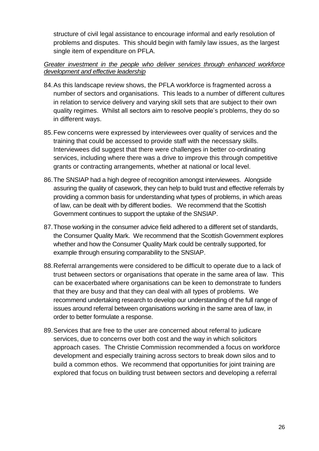structure of civil legal assistance to encourage informal and early resolution of problems and disputes. This should begin with family law issues, as the largest single item of expenditure on PFLA.

#### <span id="page-25-0"></span>*Greater investment in the people who deliver services through enhanced workforce development and effective leadership*

- 84.As this landscape review shows, the PFLA workforce is fragmented across a number of sectors and organisations. This leads to a number of different cultures in relation to service delivery and varying skill sets that are subject to their own quality regimes. Whilst all sectors aim to resolve people's problems, they do so in different ways.
- 85.Few concerns were expressed by interviewees over quality of services and the training that could be accessed to provide staff with the necessary skills. Interviewees did suggest that there were challenges in better co-ordinating services, including where there was a drive to improve this through competitive grants or contracting arrangements, whether at national or local level.
- 86.The SNSIAP had a high degree of recognition amongst interviewees. Alongside assuring the quality of casework, they can help to build trust and effective referrals by providing a common basis for understanding what types of problems, in which areas of law, can be dealt with by different bodies. We recommend that the Scottish Government continues to support the uptake of the SNSIAP.
- 87.Those working in the consumer advice field adhered to a different set of standards, the Consumer Quality Mark. We recommend that the Scottish Government explores whether and how the Consumer Quality Mark could be centrally supported, for example through ensuring comparability to the SNSIAP.
- 88.Referral arrangements were considered to be difficult to operate due to a lack of trust between sectors or organisations that operate in the same area of law. This can be exacerbated where organisations can be keen to demonstrate to funders that they are busy and that they can deal with all types of problems. We recommend undertaking research to develop our understanding of the full range of issues around referral between organisations working in the same area of law, in order to better formulate a response.
- 89.Services that are free to the user are concerned about referral to judicare services, due to concerns over both cost and the way in which solicitors approach cases. The Christie Commission recommended a focus on workforce development and especially training across sectors to break down silos and to build a common ethos. We recommend that opportunities for joint training are explored that focus on building trust between sectors and developing a referral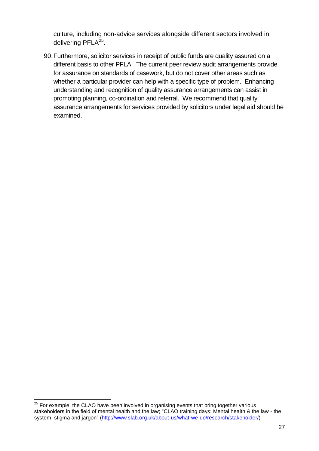culture, including non-advice services alongside different sectors involved in delivering PFLA<sup>25</sup>.

90.Furthermore, solicitor services in receipt of public funds are quality assured on a different basis to other PFLA. The current peer review audit arrangements provide for assurance on standards of casework, but do not cover other areas such as whether a particular provider can help with a specific type of problem. Enhancing understanding and recognition of quality assurance arrangements can assist in promoting planning, co-ordination and referral. We recommend that quality assurance arrangements for services provided by solicitors under legal aid should be examined.

 $\overline{\phantom{a}}$ 

 $25$  For example, the CLAO have been involved in organising events that bring together various stakeholders in the field of mental health and the law; "CLAO training days: Mental health & the law - the system, stigma and jargon" [\(http://www.slab.org.uk/about-us/what-we-do/research/stakeholder/\)](http://www.slab.org.uk/about-us/what-we-do/research/stakeholder/)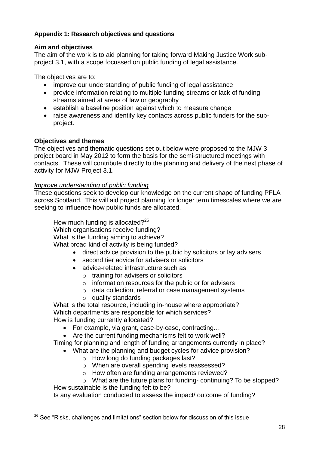# <span id="page-27-0"></span>**Appendix 1: Research objectives and questions**

#### **Aim and objectives**

The aim of the work is to aid planning for taking forward Making Justice Work subproject 3.1, with a scope focussed on public funding of legal assistance.

The objectives are to:

- improve our understanding of public funding of legal assistance
- provide information relating to multiple funding streams or lack of funding streams aimed at areas of law or geography
- establish a baseline position against which to measure change
- raise awareness and identify key contacts across public funders for the subproject.

#### **Objectives and themes**

The objectives and thematic questions set out below were proposed to the MJW 3 project board in May 2012 to form the basis for the semi-structured meetings with contacts. These will contribute directly to the planning and delivery of the next phase of activity for MJW Project 3.1.

#### *Improve understanding of public funding*

These questions seek to develop our knowledge on the current shape of funding PFLA across Scotland. This will aid project planning for longer term timescales where we are seeking to influence how public funds are allocated.

How much funding is allocated? $26$ 

Which organisations receive funding?

What is the funding aiming to achieve?

What broad kind of activity is being funded?

- direct advice provision to the public by solicitors or lay advisers
- second tier advice for advisers or solicitors
- advice-related infrastructure such as
	- o training for advisers or solicitors
	- o information resources for the public or for advisers
	- o data collection, referral or case management systems
	- $\circ$  quality standards

What is the total resource, including in-house where appropriate? Which departments are responsible for which services? How is funding currently allocated?

- For example, via grant, case-by-case, contracting…
- Are the current funding mechanisms felt to work well?

Timing for planning and length of funding arrangements currently in place?

- What are the planning and budget cycles for advice provision?
	- o How long do funding packages last?
	- o When are overall spending levels reassessed?
	- o How often are funding arrangements reviewed?

o What are the future plans for funding- continuing? To be stopped? How sustainable is the funding felt to be?

Is any evaluation conducted to assess the impact/ outcome of funding?

 $26$  See "Risks, challenges and limitations" section below for discussion of this issue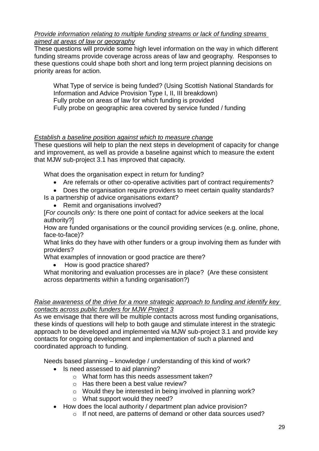#### *Provide information relating to multiple funding streams or lack of funding streams aimed at areas of law or geography*

These questions will provide some high level information on the way in which different funding streams provide coverage across areas of law and geography. Responses to these questions could shape both short and long term project planning decisions on priority areas for action.

What Type of service is being funded? (Using Scottish National Standards for Information and Advice Provision Type I, II, III breakdown) Fully probe on areas of law for which funding is provided Fully probe on geographic area covered by service funded / funding

# *Establish a baseline position against which to measure change*

These questions will help to plan the next steps in development of capacity for change and improvement, as well as provide a baseline against which to measure the extent that MJW sub-project 3.1 has improved that capacity.

What does the organisation expect in return for funding?

- Are referrals or other co-operative activities part of contract requirements?
- Does the organisation require providers to meet certain quality standards?

Is a partnership of advice organisations extant?

• Remit and organisations involved?

[*For councils only:* Is there one point of contact for advice seekers at the local authority?]

How are funded organisations or the council providing services (e.g. online, phone, face-to-face)?

What links do they have with other funders or a group involving them as funder with providers?

What examples of innovation or good practice are there?

How is good practice shared?

What monitoring and evaluation processes are in place? (Are these consistent across departments within a funding organisation?)

#### *Raise awareness of the drive for a more strategic approach to funding and identify key contacts across public funders for MJW Project 3*

As we envisage that there will be multiple contacts across most funding organisations, these kinds of questions will help to both gauge and stimulate interest in the strategic approach to be developed and implemented via MJW sub-project 3.1 and provide key contacts for ongoing development and implementation of such a planned and coordinated approach to funding.

Needs based planning – knowledge / understanding of this kind of work?

- Is need assessed to aid planning?
	- o What form has this needs assessment taken?
	- o Has there been a best value review?
	- o Would they be interested in being involved in planning work?
	- o What support would they need?
- How does the local authority / department plan advice provision?
	- o If not need, are patterns of demand or other data sources used?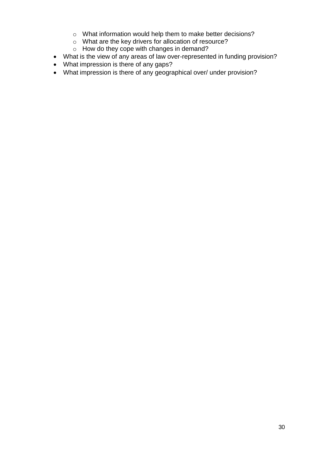- o What information would help them to make better decisions?
- o What are the key drivers for allocation of resource?
- o How do they cope with changes in demand?
- What is the view of any areas of law over-represented in funding provision?
- What impression is there of any gaps?
- What impression is there of any geographical over/ under provision?